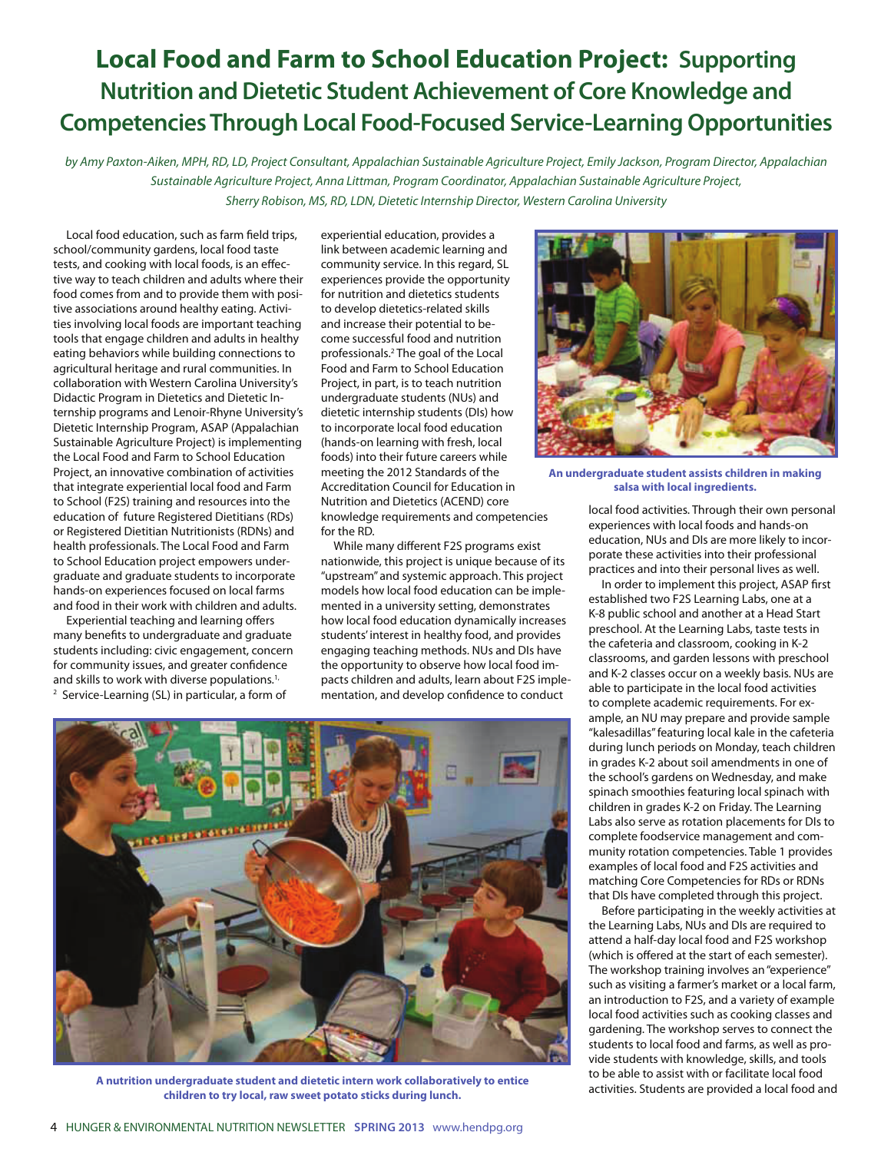## **Local Food and Farm to School Education Project: Supporting Nutrition and Dietetic Student Achievement of Core Knowledge and Competencies Through Local Food-Focused Service-Learning Opportunities**

by Amy Paxton-Aiken, MPH, RD, LD, Project Consultant, Appalachian Sustainable Agriculture Project, Emily Jackson, Program Director, Appalachian Sustainable Agriculture Project, Anna Littman, Program Coordinator, Appalachian Sustainable Agriculture Project, Sherry Robison, MS, RD, LDN, Dietetic Internship Director, Western Carolina University

Local food education, such as farm field trips, school/community gardens, local food taste tests, and cooking with local foods, is an effective way to teach children and adults where their food comes from and to provide them with positive associations around healthy eating. Activities involving local foods are important teaching tools that engage children and adults in healthy eating behaviors while building connections to agricultural heritage and rural communities. In collaboration with Western Carolina University's Didactic Program in Dietetics and Dietetic Internship programs and Lenoir-Rhyne University's Dietetic Internship Program, ASAP (Appalachian Sustainable Agriculture Project) is implementing the Local Food and Farm to School Education Project, an innovative combination of activities that integrate experiential local food and Farm to School (F2S) training and resources into the education of future Registered Dietitians (RDs) or Registered Dietitian Nutritionists (RDNs) and health professionals. The Local Food and Farm to School Education project empowers undergraduate and graduate students to incorporate hands-on experiences focused on local farms and food in their work with children and adults.

Experiential teaching and learning offers many benefits to undergraduate and graduate students including: civic engagement, concern for community issues, and greater confidence and skills to work with diverse populations.<sup>1,</sup>

experiential education, provides a link between academic learning and community service. In this regard, SL experiences provide the opportunity for nutrition and dietetics students to develop dietetics-related skills and increase their potential to become successful food and nutrition professionals.<sup>2</sup> The goal of the Local Food and Farm to School Education Project, in part, is to teach nutrition undergraduate students (NUs) and dietetic internship students (DIs) how to incorporate local food education (hands-on learning with fresh, local foods) into their future careers while meeting the 2012 Standards of the Accreditation Council for Education in Nutrition and Dietetics (ACEND) core knowledge requirements and competencies for the RD.

While many different F2S programs exist nationwide, this project is unique because of its "upstream" and systemic approach. This project models how local food education can be implemented in a university setting, demonstrates how local food education dynamically increases students' interest in healthy food, and provides engaging teaching methods. NUs and DIs have the opportunity to observe how local food impacts children and adults, learn about F2S implementation, and develop confidence to conduct



**A nutrition undergraduate student and dietetic intern work collaboratively to entice children to try local, raw sweet potato sticks during lunch.**



**An undergraduate student assists children in making salsa with local ingredients.**

local food activities. Through their own personal experiences with local foods and hands-on education, NUs and DIs are more likely to incorporate these activities into their professional practices and into their personal lives as well.

In order to implement this project, ASAP first established two F2S Learning Labs, one at a K-8 public school and another at a Head Start preschool. At the Learning Labs, taste tests in the cafeteria and classroom, cooking in K-2 classrooms, and garden lessons with preschool and K-2 classes occur on a weekly basis. NUs are able to participate in the local food activities to complete academic requirements. For example, an NU may prepare and provide sample "kalesadillas" featuring local kale in the cafeteria during lunch periods on Monday, teach children in grades K-2 about soil amendments in one of the school's gardens on Wednesday, and make spinach smoothies featuring local spinach with children in grades K-2 on Friday. The Learning Labs also serve as rotation placements for DIs to complete foodservice management and community rotation competencies. Table 1 provides examples of local food and F2S activities and matching Core Competencies for RDs or RDNs that DIs have completed through this project.

 Before participating in the weekly activities at the Learning Labs, NUs and DIs are required to attend a half-day local food and F2S workshop (which is offered at the start of each semester). The workshop training involves an "experience" such as visiting a farmer's market or a local farm, an introduction to F2S, and a variety of example local food activities such as cooking classes and gardening. The workshop serves to connect the students to local food and farms, as well as provide students with knowledge, skills, and tools to be able to assist with or facilitate local food activities. Students are provided a local food and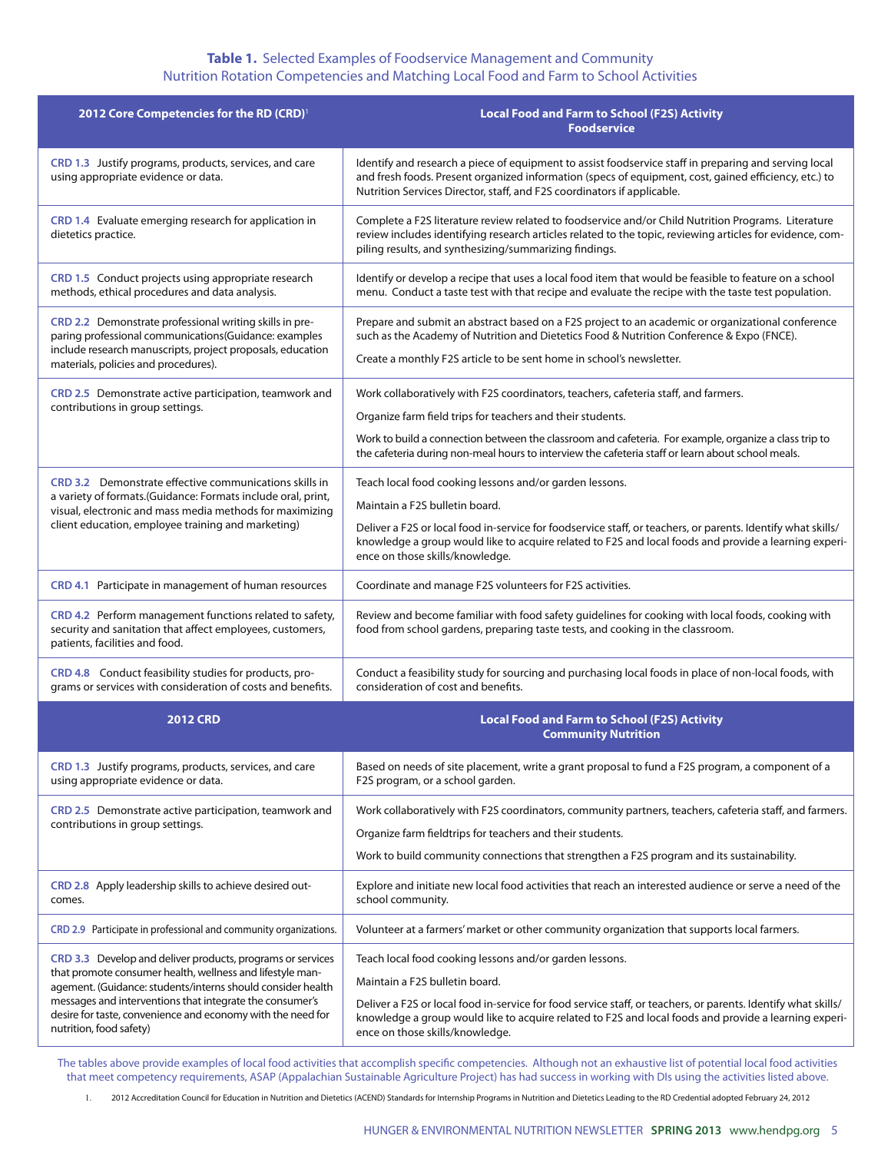## **Table 1.** Selected Examples of Foodservice Management and Community Nutrition Rotation Competencies and Matching Local Food and Farm to School Activities

| <b>Local Food and Farm to School (F2S) Activity</b><br><b>Foodservice</b>                                                                                                                                                                                                                 |
|-------------------------------------------------------------------------------------------------------------------------------------------------------------------------------------------------------------------------------------------------------------------------------------------|
| Identify and research a piece of equipment to assist foodservice staff in preparing and serving local<br>and fresh foods. Present organized information (specs of equipment, cost, gained efficiency, etc.) to<br>Nutrition Services Director, staff, and F2S coordinators if applicable. |
| Complete a F2S literature review related to foodservice and/or Child Nutrition Programs. Literature<br>review includes identifying research articles related to the topic, reviewing articles for evidence, com-<br>piling results, and synthesizing/summarizing findings.                |
| Identify or develop a recipe that uses a local food item that would be feasible to feature on a school<br>menu. Conduct a taste test with that recipe and evaluate the recipe with the taste test population.                                                                             |
| Prepare and submit an abstract based on a F2S project to an academic or organizational conference<br>such as the Academy of Nutrition and Dietetics Food & Nutrition Conference & Expo (FNCE).<br>Create a monthly F2S article to be sent home in school's newsletter.                    |
| Work collaboratively with F2S coordinators, teachers, cafeteria staff, and farmers.<br>Organize farm field trips for teachers and their students.                                                                                                                                         |
| Work to build a connection between the classroom and cafeteria. For example, organize a class trip to<br>the cafeteria during non-meal hours to interview the cafeteria staff or learn about school meals.                                                                                |
| Teach local food cooking lessons and/or garden lessons.<br>Maintain a F2S bulletin board.                                                                                                                                                                                                 |
| Deliver a F2S or local food in-service for foodservice staff, or teachers, or parents. Identify what skills/<br>knowledge a group would like to acquire related to F2S and local foods and provide a learning experi-<br>ence on those skills/knowledge.                                  |
| Coordinate and manage F2S volunteers for F2S activities.                                                                                                                                                                                                                                  |
| Review and become familiar with food safety guidelines for cooking with local foods, cooking with<br>food from school gardens, preparing taste tests, and cooking in the classroom.                                                                                                       |
| Conduct a feasibility study for sourcing and purchasing local foods in place of non-local foods, with<br>consideration of cost and benefits.                                                                                                                                              |
| <b>Local Food and Farm to School (F2S) Activity</b><br><b>Community Nutrition</b>                                                                                                                                                                                                         |
| Based on needs of site placement, write a grant proposal to fund a F2S program, a component of a<br>F2S program, or a school garden.                                                                                                                                                      |
| Work collaboratively with F2S coordinators, community partners, teachers, cafeteria staff, and farmers.                                                                                                                                                                                   |
| Organize farm fieldtrips for teachers and their students.                                                                                                                                                                                                                                 |
| Work to build community connections that strengthen a F2S program and its sustainability.                                                                                                                                                                                                 |
| Explore and initiate new local food activities that reach an interested audience or serve a need of the<br>school community.                                                                                                                                                              |
| Volunteer at a farmers' market or other community organization that supports local farmers.                                                                                                                                                                                               |
| Teach local food cooking lessons and/or garden lessons.                                                                                                                                                                                                                                   |
| Maintain a F2S bulletin board.                                                                                                                                                                                                                                                            |
| Deliver a F2S or local food in-service for food service staff, or teachers, or parents. Identify what skills/<br>knowledge a group would like to acquire related to F2S and local foods and provide a learning experi-<br>ence on those skills/knowledge.                                 |
|                                                                                                                                                                                                                                                                                           |

The tables above provide examples of local food activities that accomplish specific competencies. Although not an exhaustive list of potential local food activities that meet competency requirements, ASAP (Appalachian Sustainable Agriculture Project) has had success in working with DIs using the activities listed above.

1. 2012 Accreditation Council for Education in Nutrition and Dietetics (ACEND) Standards for Internship Programs in Nutrition and Dietetics Leading to the RD Credential adopted February 24, 2012